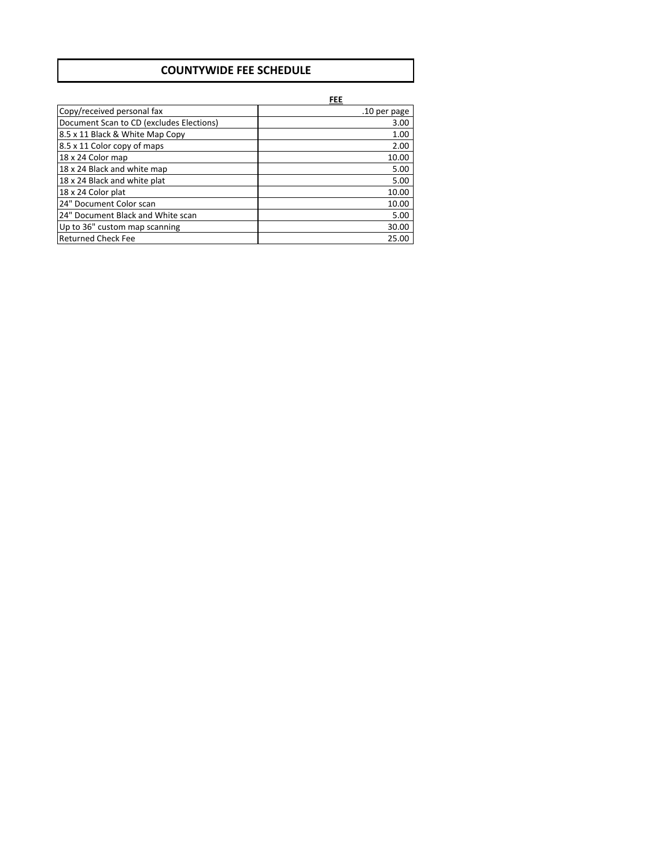### **COUNTYWIDE FEE SCHEDULE**

**FEE**

| Copy/received personal fax               | .10 per page |
|------------------------------------------|--------------|
| Document Scan to CD (excludes Elections) | 3.00         |
| 8.5 x 11 Black & White Map Copy          | 1.00         |
| 8.5 x 11 Color copy of maps              | 2.00         |
| 18 x 24 Color map                        | 10.00        |
| 18 x 24 Black and white map              | 5.00         |
| 18 x 24 Black and white plat             | 5.00         |
| 18 x 24 Color plat                       | 10.00        |
| 24" Document Color scan                  | 10.00        |
| 24" Document Black and White scan        | 5.00         |
| Up to 36" custom map scanning            | 30.00        |
| <b>Returned Check Fee</b>                | 25.00        |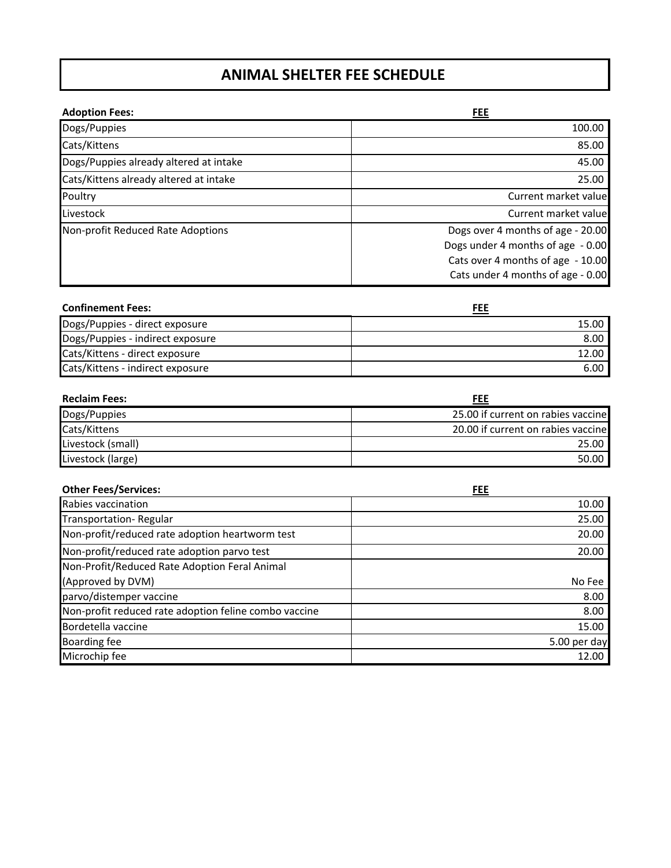## **ANIMAL SHELTER FEE SCHEDULE**

| <b>Adoption Fees:</b>                  | FEE                               |
|----------------------------------------|-----------------------------------|
| Dogs/Puppies                           | 100.00                            |
| Cats/Kittens                           | 85.00                             |
| Dogs/Puppies already altered at intake | 45.00                             |
| Cats/Kittens already altered at intake | 25.00                             |
| Poultry                                | Current market value              |
| Livestock                              | Current market value              |
| Non-profit Reduced Rate Adoptions      | Dogs over 4 months of age - 20.00 |
|                                        | Dogs under 4 months of age - 0.00 |
|                                        | Cats over 4 months of age - 10.00 |
|                                        | Cats under 4 months of age - 0.00 |

| <b>Confinement Fees:</b>         | FEE   |
|----------------------------------|-------|
| Dogs/Puppies - direct exposure   | 15.00 |
| Dogs/Puppies - indirect exposure | 8.00  |
| Cats/Kittens - direct exposure   | 12.00 |
| Cats/Kittens - indirect exposure | 6.00  |

| <b>Reclaim Fees:</b> | FEE                                |
|----------------------|------------------------------------|
| Dogs/Puppies         | 25.00 if current on rabies vaccine |
| Cats/Kittens         | 20.00 if current on rabies vaccine |
| Livestock (small)    | 25.00                              |
| Livestock (large)    | 50.00                              |

| <b>Other Fees/Services:</b>                           | <b>FEE</b>   |
|-------------------------------------------------------|--------------|
| Rabies vaccination                                    | 10.00        |
| Transportation-Regular                                | 25.00        |
| Non-profit/reduced rate adoption heartworm test       | 20.00        |
| Non-profit/reduced rate adoption parvo test           | 20.00        |
| Non-Profit/Reduced Rate Adoption Feral Animal         |              |
| (Approved by DVM)                                     | No Fee       |
| parvo/distemper vaccine                               | 8.00         |
| Non-profit reduced rate adoption feline combo vaccine | 8.00         |
| Bordetella vaccine                                    | 15.00        |
| <b>Boarding fee</b>                                   | 5.00 per day |
| Microchip fee                                         | 12.00        |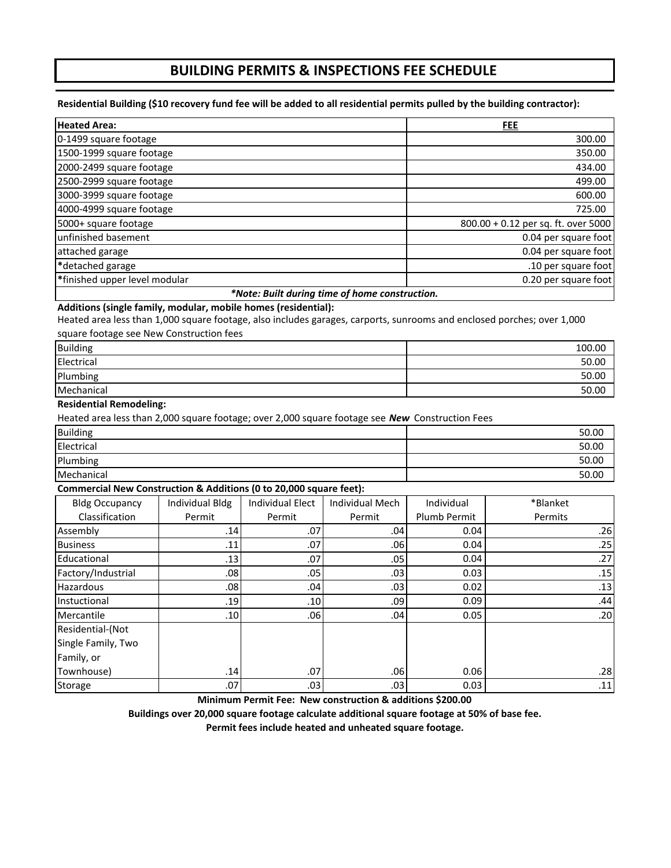### **BUILDING PERMITS & INSPECTIONS FEE SCHEDULE**

#### Residential Building (\$10 recovery fund fee will be added to all residential permits pulled by the building contractor):

| <b>Heated Area:</b>                           | FEE                                 |
|-----------------------------------------------|-------------------------------------|
| 0-1499 square footage                         | 300.00                              |
| 1500-1999 square footage                      | 350.00                              |
| 2000-2499 square footage                      | 434.00                              |
| 2500-2999 square footage                      | 499.00                              |
| 3000-3999 square footage                      | 600.00                              |
| 4000-4999 square footage                      | 725.00                              |
| 5000+ square footage                          | 800.00 + 0.12 per sq. ft. over 5000 |
| unfinished basement                           | 0.04 per square foot                |
| attached garage                               | 0.04 per square foot                |
| *detached garage                              | .10 per square foot                 |
| *finished upper level modular                 | 0.20 per square foot                |
| *Nato: Puilt during time of home construction |                                     |

### *\*Note: Built during time of home construction.*

### **Additions (single family, modular, mobile homes (residential):**

Heated area less than 1,000 square footage, also includes garages, carports, sunrooms and enclosed porches; over 1,000 square footage see New Construction fees

| <b>Building</b> | 100.00 |
|-----------------|--------|
| Electrical      | 50.00  |
| Plumbing        | 50.00  |
| Mechanical      | 50.00  |

#### **Residential Remodeling:**

Heated area less than 2,000 square footage; over 2,000 square footage see *New* Construction Fees

| <b>Building</b> | 50.00 |
|-----------------|-------|
| Electrical      | 50.00 |
| Plumbing        | 50.00 |
| Mechanical      | 50.00 |

#### **Commercial New Construction & Additions (0 to 20,000 square feet):**

| <b>Bldg Occupancy</b> | Individual Bldg  | <b>Individual Elect</b> | <b>Individual Mech</b> | Individual   | *Blanket |
|-----------------------|------------------|-------------------------|------------------------|--------------|----------|
| Classification        | Permit           | Permit                  | Permit                 | Plumb Permit | Permits  |
| Assembly              | .14              | .07                     | .04                    | 0.04         | .26      |
| <b>Business</b>       | .11              | .07                     | .06                    | 0.04         | .25      |
| Educational           | .13              | .07                     | .05                    | 0.04         | .27      |
| Factory/Industrial    | .08 <sub>1</sub> | .05                     | .03                    | 0.03         | .15      |
| Hazardous             | .08 <sub>1</sub> | .04 <sub>l</sub>        | .03                    | 0.02         | .13      |
| Instuctional          | .19              | .10 <sub>l</sub>        | .09 <sub>l</sub>       | 0.09         | .44      |
| Mercantile            | .10 <sub>l</sub> | .061                    | .04                    | 0.05         | .201     |
| Residential-(Not      |                  |                         |                        |              |          |
| Single Family, Two    |                  |                         |                        |              |          |
| Family, or            |                  |                         |                        |              |          |
| Townhouse)            | .14              | .07                     | .06 <sub>1</sub>       | 0.06         | .28      |
| Storage               | .07              | .03 <sub>l</sub>        | .03                    | 0.03         | .11      |

**Minimum Permit Fee: New construction & additions \$200.00**

**Buildings over 20,000 square footage calculate additional square footage at 50% of base fee.**

**Permit fees include heated and unheated square footage.**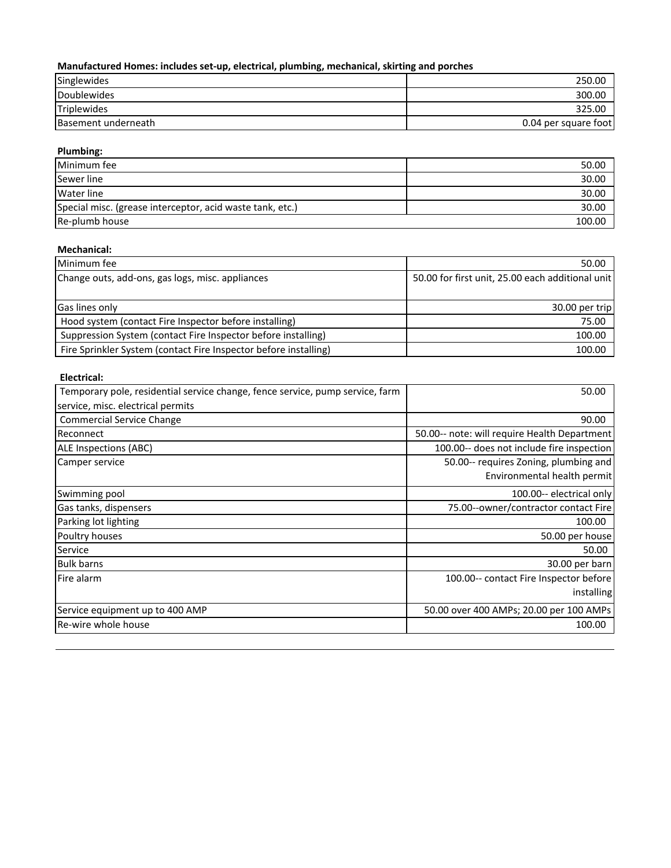### **Manufactured Homes: includes set‐up, electrical, plumbing, mechanical, skirting and porches**

| Singlewides         | 250.00               |
|---------------------|----------------------|
| Doublewides         | 300.00               |
| Triplewides         | 325.00               |
| Basement underneath | 0.04 per square foot |

#### **Plumbing:**

| Minimum fee                                               | 50.00  |
|-----------------------------------------------------------|--------|
| Sewer line                                                | 30.00  |
| Water line                                                | 30.00  |
| Special misc. (grease interceptor, acid waste tank, etc.) | 30.00  |
| Re-plumb house                                            | 100.00 |

#### **Mechanical:**

| Minimum fee                                                      | 50.00                                            |
|------------------------------------------------------------------|--------------------------------------------------|
| Change outs, add-ons, gas logs, misc. appliances                 | 50.00 for first unit, 25.00 each additional unit |
|                                                                  |                                                  |
| <b>Gas lines only</b>                                            | 30.00 per trip                                   |
| Hood system (contact Fire Inspector before installing)           | 75.00                                            |
| Suppression System (contact Fire Inspector before installing)    | 100.00                                           |
| Fire Sprinkler System (contact Fire Inspector before installing) | 100.00                                           |

### **Electrical:**

| Temporary pole, residential service change, fence service, pump service, farm | 50.00                                        |
|-------------------------------------------------------------------------------|----------------------------------------------|
| service, misc. electrical permits                                             |                                              |
| <b>Commercial Service Change</b>                                              | 90.00                                        |
| Reconnect                                                                     | 50.00-- note: will require Health Department |
| ALE Inspections (ABC)                                                         | 100.00-- does not include fire inspection    |
| Camper service                                                                | 50.00-- requires Zoning, plumbing and        |
|                                                                               | Environmental health permit                  |
| Swimming pool                                                                 | 100.00-- electrical only                     |
| Gas tanks, dispensers                                                         | 75.00--owner/contractor contact Fire         |
| Parking lot lighting                                                          | 100.00                                       |
| Poultry houses                                                                | 50.00 per house                              |
| Service                                                                       | 50.00                                        |
| <b>Bulk barns</b>                                                             | 30.00 per barn                               |
| Fire alarm                                                                    | 100.00-- contact Fire Inspector before       |
|                                                                               | installing                                   |
| Service equipment up to 400 AMP                                               | 50.00 over 400 AMPs; 20.00 per 100 AMPs      |
| Re-wire whole house                                                           | 100.00                                       |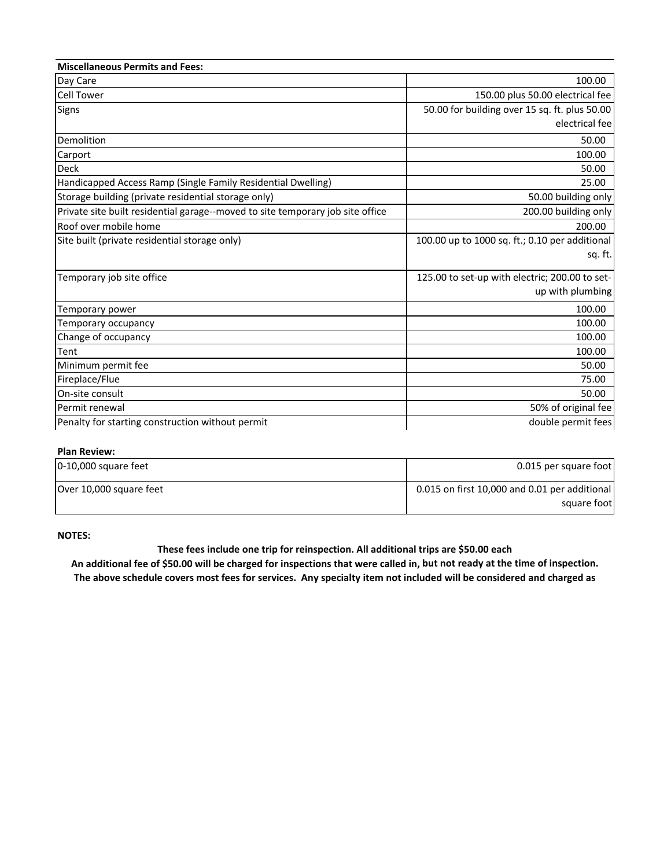| <b>Miscellaneous Permits and Fees:</b>                                         |                                                |
|--------------------------------------------------------------------------------|------------------------------------------------|
| Day Care                                                                       | 100.00                                         |
| <b>Cell Tower</b>                                                              | 150.00 plus 50.00 electrical fee               |
| <b>Signs</b>                                                                   | 50.00 for building over 15 sq. ft. plus 50.00  |
|                                                                                | electrical fee                                 |
| Demolition                                                                     | 50.00                                          |
| Carport                                                                        | 100.00                                         |
| <b>Deck</b>                                                                    | 50.00                                          |
| Handicapped Access Ramp (Single Family Residential Dwelling)                   | 25.00                                          |
| Storage building (private residential storage only)                            | 50.00 building only                            |
| Private site built residential garage--moved to site temporary job site office | 200.00 building only                           |
| Roof over mobile home                                                          | 200.00                                         |
| Site built (private residential storage only)                                  | 100.00 up to 1000 sq. ft.; 0.10 per additional |
|                                                                                | sq. ft.                                        |
| Temporary job site office                                                      | 125.00 to set-up with electric; 200.00 to set- |
|                                                                                | up with plumbing                               |
| Temporary power                                                                | 100.00                                         |
| Temporary occupancy                                                            | 100.00                                         |
| Change of occupancy                                                            | 100.00                                         |
| Tent                                                                           | 100.00                                         |
| Minimum permit fee                                                             | 50.00                                          |
| Fireplace/Flue                                                                 | 75.00                                          |
| On-site consult                                                                | 50.00                                          |
| Permit renewal                                                                 | 50% of original fee                            |
| Penalty for starting construction without permit                               | double permit fees                             |

#### **Plan Review:**

| 0-10,000 square feet    | 0.015 per square foot                         |
|-------------------------|-----------------------------------------------|
| Over 10,000 square feet | 0.015 on first 10,000 and 0.01 per additional |
|                         | square foot                                   |

#### **NOTES:**

#### **These fees include one trip for reinspection. All additional trips are \$50.00 each**

An additional fee of \$50.00 will be charged for inspections that were called in, but not ready at the time of inspection. The above schedule covers most fees for services. Any specialty item not included will be considered and charged as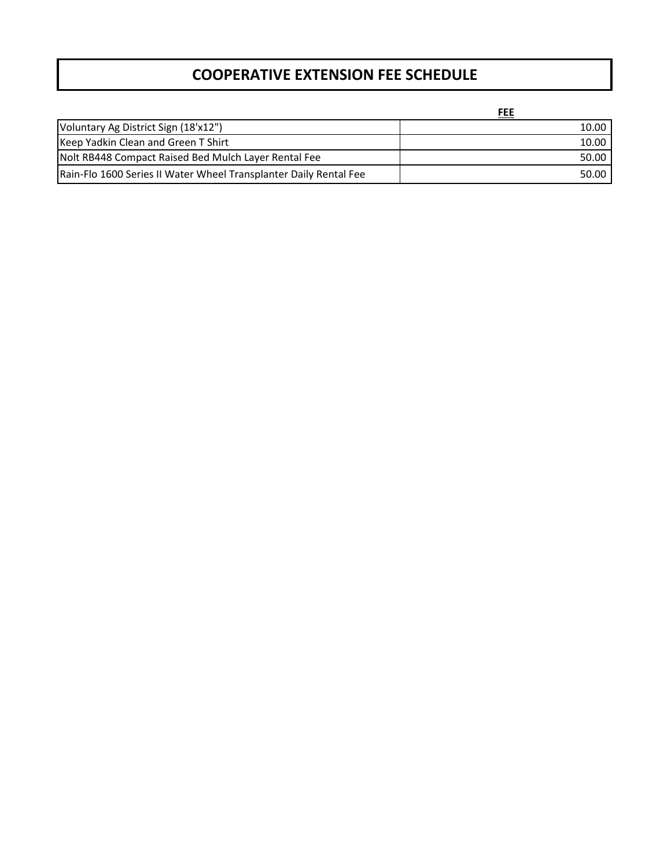## **COOPERATIVE EXTENSION FEE SCHEDULE**

**FEE**

| Voluntary Ag District Sign (18'x12")                              | 10.00 |
|-------------------------------------------------------------------|-------|
| Keep Yadkin Clean and Green T Shirt                               | 10.00 |
| Nolt RB448 Compact Raised Bed Mulch Layer Rental Fee              | 50.00 |
| Rain-Flo 1600 Series II Water Wheel Transplanter Daily Rental Fee | 50.00 |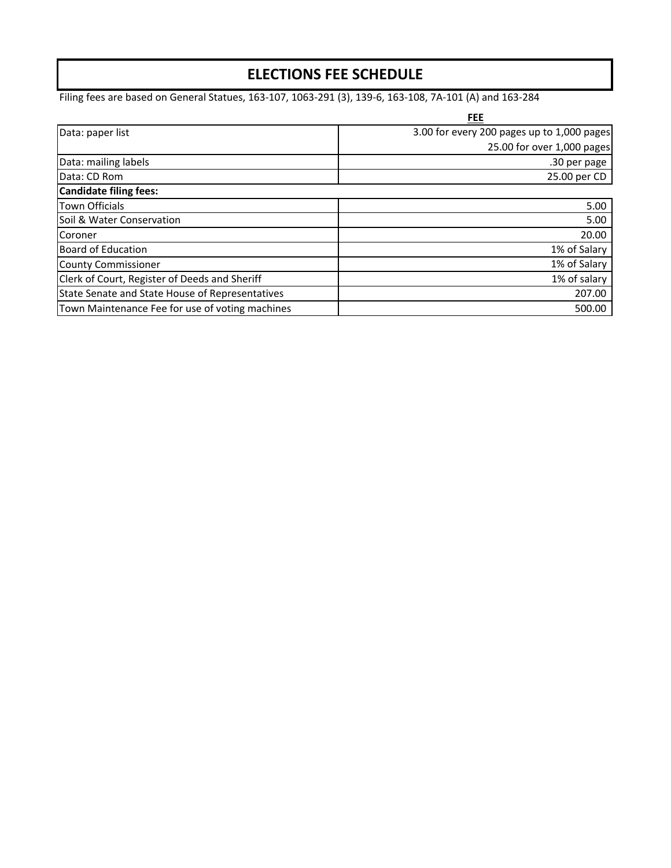## **ELECTIONS FEE SCHEDULE**

Filing fees are based on General Statues, 163‐107, 1063‐291 (3), 139‐6, 163‐108, 7A‐101 (A) and 163‐284

|                                                 | FEE                                        |
|-------------------------------------------------|--------------------------------------------|
| Data: paper list                                | 3.00 for every 200 pages up to 1,000 pages |
|                                                 | 25.00 for over 1,000 pages                 |
| Data: mailing labels                            | .30 per page                               |
| Data: CD Rom                                    | 25.00 per CD                               |
| Candidate filing fees:                          |                                            |
| <b>Town Officials</b>                           | 5.00                                       |
| Soil & Water Conservation                       | 5.00                                       |
| Coroner                                         | 20.00                                      |
| <b>Board of Education</b>                       | 1% of Salary                               |
| <b>County Commissioner</b>                      | 1% of Salary                               |
| Clerk of Court, Register of Deeds and Sheriff   | 1% of salary                               |
| State Senate and State House of Representatives | 207.00                                     |
| Town Maintenance Fee for use of voting machines | 500.00                                     |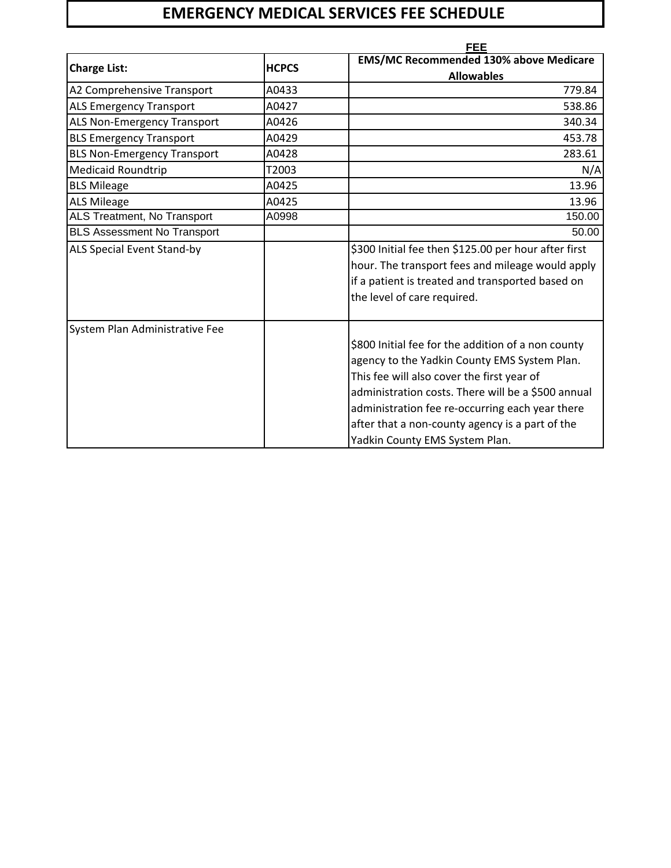# **EMERGENCY MEDICAL SERVICES FEE SCHEDULE**

|                                    | <b>FEE</b>   |                                                                                                                                                                                                                                                                                                                                                |  |
|------------------------------------|--------------|------------------------------------------------------------------------------------------------------------------------------------------------------------------------------------------------------------------------------------------------------------------------------------------------------------------------------------------------|--|
| <b>Charge List:</b>                | <b>HCPCS</b> | <b>EMS/MC Recommended 130% above Medicare</b>                                                                                                                                                                                                                                                                                                  |  |
|                                    |              | <b>Allowables</b>                                                                                                                                                                                                                                                                                                                              |  |
| A2 Comprehensive Transport         | A0433        | 779.84                                                                                                                                                                                                                                                                                                                                         |  |
| <b>ALS Emergency Transport</b>     | A0427        | 538.86                                                                                                                                                                                                                                                                                                                                         |  |
| ALS Non-Emergency Transport        | A0426        | 340.34                                                                                                                                                                                                                                                                                                                                         |  |
| <b>BLS Emergency Transport</b>     | A0429        | 453.78                                                                                                                                                                                                                                                                                                                                         |  |
| <b>BLS Non-Emergency Transport</b> | A0428        | 283.61                                                                                                                                                                                                                                                                                                                                         |  |
| <b>Medicaid Roundtrip</b>          | T2003        | N/A                                                                                                                                                                                                                                                                                                                                            |  |
| <b>BLS Mileage</b>                 | A0425        | 13.96                                                                                                                                                                                                                                                                                                                                          |  |
| <b>ALS Mileage</b>                 | A0425        | 13.96                                                                                                                                                                                                                                                                                                                                          |  |
| ALS Treatment, No Transport        | A0998        | 150.00                                                                                                                                                                                                                                                                                                                                         |  |
| <b>BLS Assessment No Transport</b> |              | 50.00                                                                                                                                                                                                                                                                                                                                          |  |
| <b>ALS Special Event Stand-by</b>  |              | \$300 Initial fee then \$125.00 per hour after first<br>hour. The transport fees and mileage would apply<br>if a patient is treated and transported based on<br>the level of care required.                                                                                                                                                    |  |
| System Plan Administrative Fee     |              | \$800 Initial fee for the addition of a non county<br>agency to the Yadkin County EMS System Plan.<br>This fee will also cover the first year of<br>administration costs. There will be a \$500 annual<br>administration fee re-occurring each year there<br>after that a non-county agency is a part of the<br>Yadkin County EMS System Plan. |  |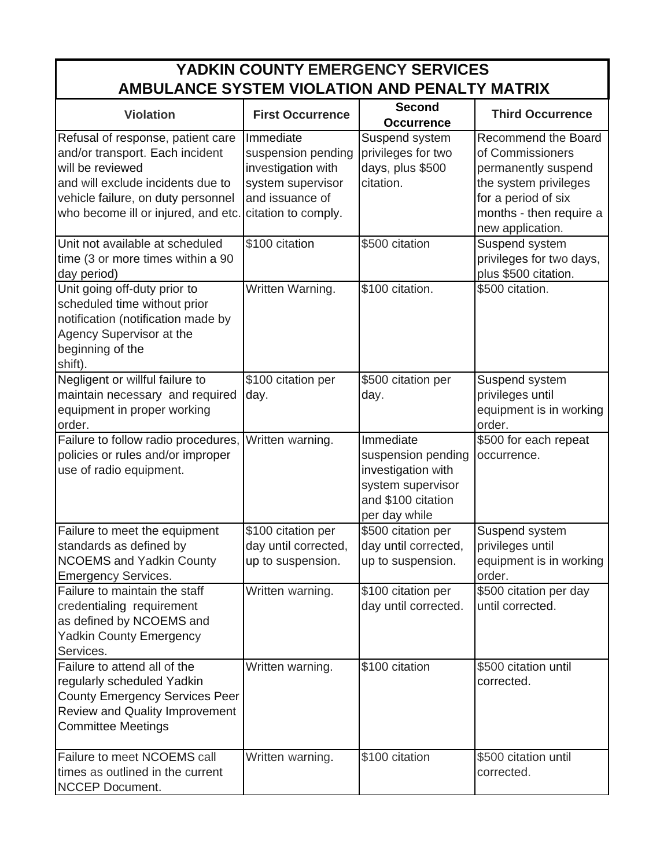# **YADKIN COUNTY EMERGENCY SERVICES AMBULANCE SYSTEM VIOLATION AND PENALTY MATRIX**

| <b>Violation</b>                                                                                                                                                                                           | <b>First Occurrence</b>                                                                                              | <b>Second</b><br><b>Occurrence</b>                                                                                | <b>Third Occurrence</b>                                                                                                                                              |
|------------------------------------------------------------------------------------------------------------------------------------------------------------------------------------------------------------|----------------------------------------------------------------------------------------------------------------------|-------------------------------------------------------------------------------------------------------------------|----------------------------------------------------------------------------------------------------------------------------------------------------------------------|
| Refusal of response, patient care<br>and/or transport. Each incident<br>will be reviewed<br>and will exclude incidents due to<br>vehicle failure, on duty personnel<br>who become ill or injured, and etc. | Immediate<br>suspension pending<br>investigation with<br>system supervisor<br>and issuance of<br>citation to comply. | Suspend system<br>privileges for two<br>days, plus \$500<br>citation.                                             | <b>Recommend the Board</b><br>of Commissioners<br>permanently suspend<br>the system privileges<br>for a period of six<br>months - then require a<br>new application. |
| Unit not available at scheduled<br>time (3 or more times within a 90<br>day period)                                                                                                                        | \$100 citation                                                                                                       | \$500 citation                                                                                                    | Suspend system<br>privileges for two days,<br>plus \$500 citation.                                                                                                   |
| Unit going off-duty prior to<br>scheduled time without prior<br>notification (notification made by<br>Agency Supervisor at the<br>beginning of the<br>shift).                                              | Written Warning.                                                                                                     | \$100 citation.                                                                                                   | \$500 citation.                                                                                                                                                      |
| Negligent or willful failure to<br>maintain necessary and required<br>equipment in proper working<br>order.                                                                                                | \$100 citation per<br>day.                                                                                           | \$500 citation per<br>day.                                                                                        | Suspend system<br>privileges until<br>equipment is in working<br>order.                                                                                              |
| Failure to follow radio procedures,<br>policies or rules and/or improper<br>use of radio equipment.                                                                                                        | Written warning.                                                                                                     | Immediate<br>suspension pending<br>investigation with<br>system supervisor<br>and \$100 citation<br>per day while | \$500 for each repeat<br>occurrence.                                                                                                                                 |
| Failure to meet the equipment<br>standards as defined by<br><b>NCOEMS and Yadkin County</b><br><b>Emergency Services.</b>                                                                                  | \$100 citation per<br>day until corrected,<br>up to suspension.                                                      | \$500 citation per<br>day until corrected,<br>up to suspension.                                                   | Suspend system<br>privileges until<br>equipment is in working<br>order.                                                                                              |
| Failure to maintain the staff<br>credentialing requirement<br>as defined by NCOEMS and<br><b>Yadkin County Emergency</b><br>Services.                                                                      | Written warning.                                                                                                     | \$100 citation per<br>day until corrected.                                                                        | \$500 citation per day<br>until corrected.                                                                                                                           |
| Failure to attend all of the<br>regularly scheduled Yadkin<br><b>County Emergency Services Peer</b><br><b>Review and Quality Improvement</b><br><b>Committee Meetings</b>                                  | Written warning.                                                                                                     | \$100 citation                                                                                                    | \$500 citation until<br>corrected.                                                                                                                                   |
| Failure to meet NCOEMS call<br>times as outlined in the current<br>NCCEP Document.                                                                                                                         | Written warning.                                                                                                     | \$100 citation                                                                                                    | \$500 citation until<br>corrected.                                                                                                                                   |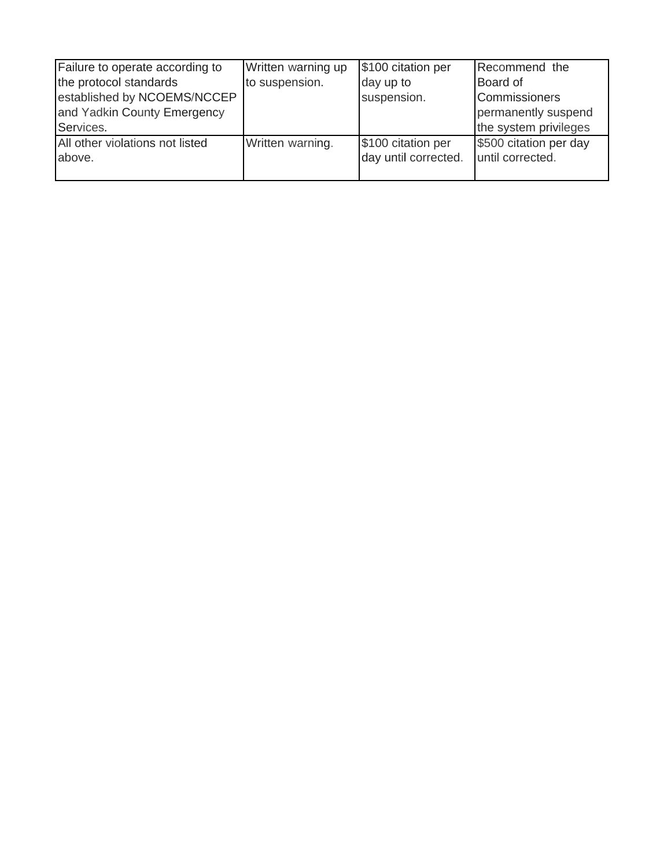| Failure to operate according to | Written warning up | \$100 citation per   | Recommend the          |
|---------------------------------|--------------------|----------------------|------------------------|
| the protocol standards          | to suspension.     | day up to            | Board of               |
| established by NCOEMS/NCCEP     |                    | suspension.          | Commissioners          |
| and Yadkin County Emergency     |                    |                      | permanently suspend    |
| Services.                       |                    |                      | the system privileges  |
| All other violations not listed | Written warning.   | \$100 citation per   | \$500 citation per day |
| above.                          |                    | day until corrected. | until corrected.       |
|                                 |                    |                      |                        |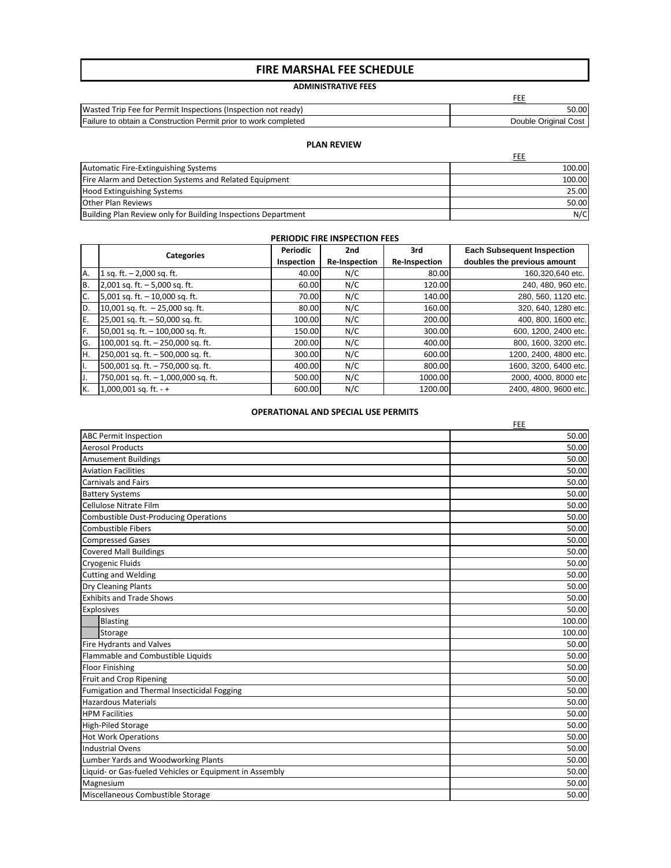### **FIRE MARSHAL FEE SCHEDULE**

### **ADMINISTRATIVE FEES**

FEE

| Wasted<br>ted Trip Fee for Permit Inspections (Inspection not ready). | 50.00                   |
|-----------------------------------------------------------------------|-------------------------|
| Failure to obtain a Construction Permit prior to work completed       | Original Cost<br>Double |

#### **PLAN REVIEW**

|                                                               | FEE    |
|---------------------------------------------------------------|--------|
| Automatic Fire-Extinguishing Systems                          | 100.00 |
| Fire Alarm and Detection Systems and Related Equipment        | 100.00 |
| Hood Extinguishing Systems                                    | 25.00  |
| <b>Other Plan Reviews</b>                                     | 50.00  |
| Building Plan Review only for Building Inspections Department | N/C    |

#### **PERIODIC FIRE INSPECTION FEES**

| PERIODIC FIRE INSPECTION FEES |                                     |            |                      |                      |                                   |
|-------------------------------|-------------------------------------|------------|----------------------|----------------------|-----------------------------------|
|                               | <b>Categories</b>                   | Periodic   | 2nd                  | 3rd                  | <b>Each Subsequent Inspection</b> |
|                               |                                     | Inspection | <b>Re-Inspection</b> | <b>Re-Inspection</b> | doubles the previous amount       |
| A.                            | 1 sq. ft. $- 2,000$ sq. ft.         | 40.00      | N/C                  | 80.00                | 160,320,640 etc.                  |
| B.                            | 2,001 sq. ft. $-5,000$ sq. ft.      | 60.00      | N/C                  | 120.00               | 240, 480, 960 etc.                |
| C.                            | 5,001 sq. ft. $-$ 10,000 sq. ft.    | 70.00      | N/C                  | 140.00               | 280, 560, 1120 etc.               |
| D.                            | 10,001 sq. ft. $-25,000$ sq. ft.    | 80.00      | N/C                  | 160.00               | 320, 640, 1280 etc.               |
| E.                            | 25,001 sq. ft. - 50,000 sq. ft.     | 100.00     | N/C                  | 200.00               | 400, 800, 1600 etc.               |
| lF.                           | 50,001 sq. ft. - 100,000 sq. ft.    | 150.00     | N/C                  | 300.00               | 600, 1200, 2400 etc.              |
| lG.                           | 100,001 sq. ft. $- 250,000$ sq. ft. | 200.00     | N/C                  | 400.00               | 800, 1600, 3200 etc.              |
| IH.                           | 250,001 sq. ft. - 500,000 sq. ft.   | 300.00     | N/C                  | 600.00               | 1200, 2400, 4800 etc.             |
| 1.                            | 500,001 sq. ft. - 750,000 sq. ft.   | 400.00     | N/C                  | 800.00               | 1600, 3200, 6400 etc.             |
| IJ.                           | 750,001 sq. ft. - 1,000,000 sq. ft. | 500.00     | N/C                  | 1000.00              | 2000, 4000, 8000 etc              |
| К.                            | $1,000,001$ sq. ft. - +             | 600.00     | N/C                  | 1200.00              | 2400, 4800, 9600 etc.             |

#### **OPERATIONAL AND SPECIAL USE PERMITS**

|                                                         | FEE    |
|---------------------------------------------------------|--------|
| <b>ABC Permit Inspection</b>                            | 50.00  |
| <b>Aerosol Products</b>                                 | 50.00  |
| <b>Amusement Buildings</b>                              | 50.00  |
| <b>Aviation Facilities</b>                              | 50.00  |
| <b>Carnivals and Fairs</b>                              | 50.00  |
| <b>Battery Systems</b>                                  | 50.00  |
| Cellulose Nitrate Film                                  | 50.00  |
| <b>Combustible Dust-Producing Operations</b>            | 50.00  |
| Combustible Fibers                                      | 50.00  |
| <b>Compressed Gases</b>                                 | 50.00  |
| <b>Covered Mall Buildings</b>                           | 50.00  |
| <b>Cryogenic Fluids</b>                                 | 50.00  |
| <b>Cutting and Welding</b>                              | 50.00  |
| <b>Dry Cleaning Plants</b>                              | 50.00  |
| <b>Exhibits and Trade Shows</b>                         | 50.00  |
| Explosives                                              | 50.00  |
| Blasting                                                | 100.00 |
| Storage                                                 | 100.00 |
| <b>Fire Hydrants and Valves</b>                         | 50.00  |
| Flammable and Combustible Liquids                       | 50.00  |
| <b>Floor Finishing</b>                                  | 50.00  |
| Fruit and Crop Ripening                                 | 50.00  |
| Fumigation and Thermal Insecticidal Fogging             | 50.00  |
| <b>Hazardous Materials</b>                              | 50.00  |
| <b>HPM Facilities</b>                                   | 50.00  |
| <b>High-Piled Storage</b>                               | 50.00  |
| <b>Hot Work Operations</b>                              | 50.00  |
| <b>Industrial Ovens</b>                                 | 50.00  |
| Lumber Yards and Woodworking Plants                     | 50.00  |
| Liquid- or Gas-fueled Vehicles or Equipment in Assembly | 50.00  |
| Magnesium                                               | 50.00  |
| Miscellaneous Combustible Storage                       | 50.00  |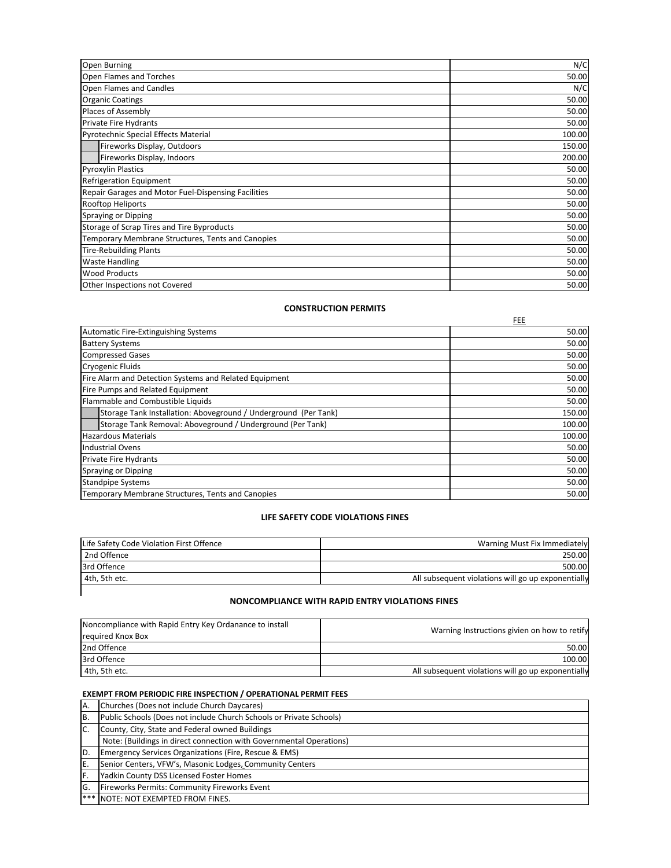| <b>Open Burning</b>                                 | N/C    |
|-----------------------------------------------------|--------|
| <b>Open Flames and Torches</b>                      | 50.00  |
| Open Flames and Candles                             | N/C    |
| <b>Organic Coatings</b>                             | 50.00  |
| Places of Assembly                                  | 50.00  |
| Private Fire Hydrants                               | 50.00  |
| Pyrotechnic Special Effects Material                | 100.00 |
| Fireworks Display, Outdoors                         | 150.00 |
| Fireworks Display, Indoors                          | 200.00 |
| <b>Pyroxylin Plastics</b>                           | 50.00  |
| <b>Refrigeration Equipment</b>                      | 50.00  |
| Repair Garages and Motor Fuel-Dispensing Facilities | 50.00  |
| Rooftop Heliports                                   | 50.00  |
| <b>Spraying or Dipping</b>                          | 50.00  |
| Storage of Scrap Tires and Tire Byproducts          | 50.00  |
| Temporary Membrane Structures, Tents and Canopies   | 50.00  |
| <b>Tire-Rebuilding Plants</b>                       | 50.00  |
| <b>Waste Handling</b>                               | 50.00  |
| <b>Wood Products</b>                                | 50.00  |
| Other Inspections not Covered                       | 50.00  |

#### **CONSTRUCTION PERMITS**

|                                                                 | FEE    |
|-----------------------------------------------------------------|--------|
| <b>Automatic Fire-Extinguishing Systems</b>                     | 50.00  |
| <b>Battery Systems</b>                                          | 50.00  |
| <b>Compressed Gases</b>                                         | 50.00  |
| <b>Cryogenic Fluids</b>                                         | 50.00  |
| Fire Alarm and Detection Systems and Related Equipment          | 50.00  |
| Fire Pumps and Related Equipment                                | 50.00  |
| Flammable and Combustible Liquids                               | 50.00  |
| Storage Tank Installation: Aboveground / Underground (Per Tank) | 150.00 |
| Storage Tank Removal: Aboveground / Underground (Per Tank)      |        |
| <b>Hazardous Materials</b>                                      | 100.00 |
| <b>Industrial Ovens</b>                                         | 50.00  |
| Private Fire Hydrants                                           |        |
| Spraying or Dipping                                             | 50.00  |
| <b>Standpipe Systems</b>                                        | 50.00  |
| Temporary Membrane Structures, Tents and Canopies               | 50.00  |

#### **LIFE SAFETY CODE VIOLATIONS FINES**

| Life Safety Code Violation First Offence | Warning Must Fix Immediately                       |
|------------------------------------------|----------------------------------------------------|
| 2nd Offence                              | 250.00                                             |
| 3rd Offence                              | 500.00                                             |
| 4th. 5th etc.                            | All subsequent violations will go up exponentially |
|                                          |                                                    |

#### **NONCOMPLIANCE WITH RAPID ENTRY VIOLATIONS FINES**

| Noncompliance with Rapid Entry Key Ordanance to install | Warning Instructions givien on how to retify       |
|---------------------------------------------------------|----------------------------------------------------|
| required Knox Box                                       |                                                    |
| 2nd Offence                                             | 50.00                                              |
| 3rd Offence                                             | 100.00                                             |
| 4th, 5th etc.                                           | All subsequent violations will go up exponentially |

### **EXEMPT FROM PERIODIC FIRE INSPECTION / OPERATIONAL PERMIT FEES**

| A.  | Churches (Does not include Church Daycares)                         |  |
|-----|---------------------------------------------------------------------|--|
| IB. | Public Schools (Does not include Church Schools or Private Schools) |  |
| IC. | County, City, State and Federal owned Buildings                     |  |
|     | Note: (Buildings in direct connection with Governmental Operations) |  |
| ID. | Emergency Services Organizations (Fire, Rescue & EMS)               |  |
| IE. | Senior Centers, VFW's, Masonic Lodges, Community Centers            |  |
| IF. | Yadkin County DSS Licensed Foster Homes                             |  |
| IG. | <b>Fireworks Permits: Community Fireworks Event</b>                 |  |
|     | <b> ***   NOTE: NOT EXEMPTED FROM FINES.</b>                        |  |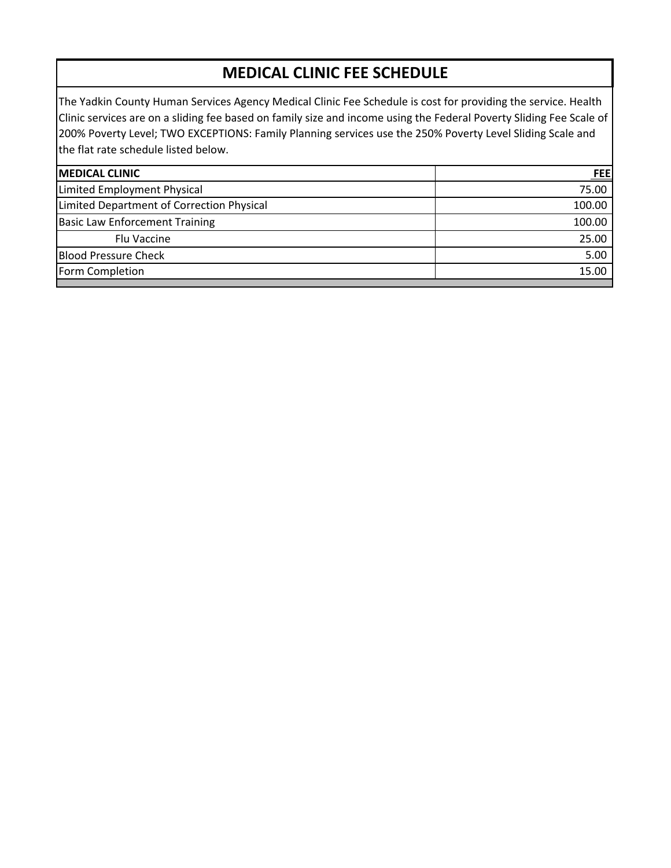# **MEDICAL CLINIC FEE SCHEDULE**

The Yadkin County Human Services Agency Medical Clinic Fee Schedule is cost for providing the service. Health Clinic services are on a sliding fee based on family size and income using the Federal Poverty Sliding Fee Scale of 200% Poverty Level; TWO EXCEPTIONS: Family Planning services use the 250% Poverty Level Sliding Scale and the flat rate schedule listed below.

| <b>FEE</b> |
|------------|
| 75.00      |
| 100.00     |
| 100.00     |
| 25.00      |
| 5.00       |
| 15.00      |
|            |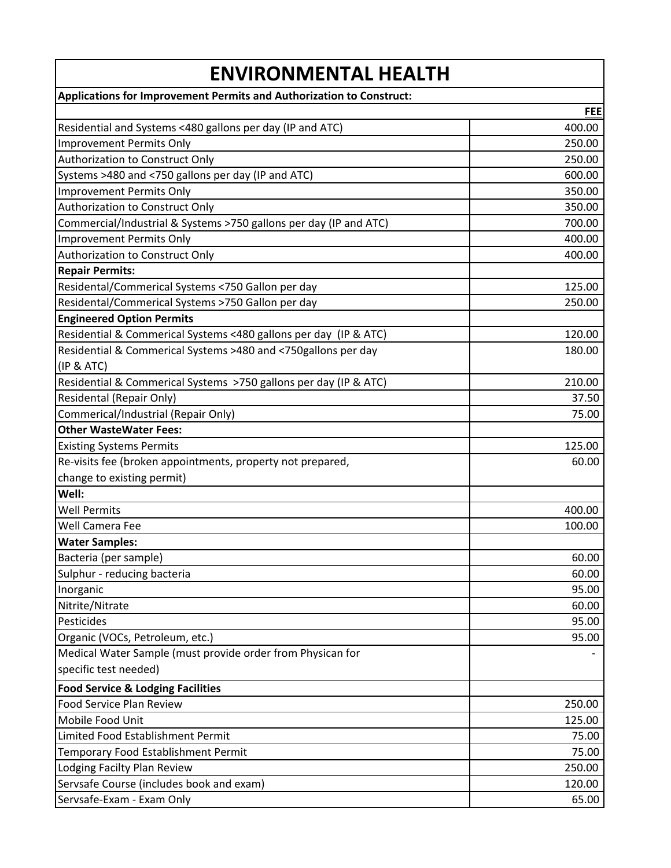| <b>ENVIRONMENTAL HEALTH</b>                                          |            |  |
|----------------------------------------------------------------------|------------|--|
| Applications for Improvement Permits and Authorization to Construct: |            |  |
|                                                                      | <b>FEE</b> |  |
| Residential and Systems <480 gallons per day (IP and ATC)            | 400.00     |  |
| <b>Improvement Permits Only</b>                                      | 250.00     |  |
| Authorization to Construct Only                                      | 250.00     |  |
| Systems >480 and <750 gallons per day (IP and ATC)                   | 600.00     |  |
| <b>Improvement Permits Only</b>                                      | 350.00     |  |
| Authorization to Construct Only                                      | 350.00     |  |
| Commercial/Industrial & Systems >750 gallons per day (IP and ATC)    | 700.00     |  |
| <b>Improvement Permits Only</b>                                      | 400.00     |  |
| Authorization to Construct Only                                      | 400.00     |  |
| <b>Repair Permits:</b>                                               |            |  |
| Residental/Commerical Systems <750 Gallon per day                    | 125.00     |  |
| Residental/Commerical Systems >750 Gallon per day                    | 250.00     |  |
| <b>Engineered Option Permits</b>                                     |            |  |
| Residential & Commerical Systems <480 gallons per day (IP & ATC)     | 120.00     |  |
| Residential & Commerical Systems >480 and <750gallons per day        | 180.00     |  |
| (IP & ATC)                                                           |            |  |
| Residential & Commerical Systems >750 gallons per day (IP & ATC)     | 210.00     |  |
| Residental (Repair Only)                                             | 37.50      |  |
| Commerical/Industrial (Repair Only)                                  | 75.00      |  |
| <b>Other WasteWater Fees:</b>                                        |            |  |
| <b>Existing Systems Permits</b>                                      | 125.00     |  |
| Re-visits fee (broken appointments, property not prepared,           | 60.00      |  |
| change to existing permit)                                           |            |  |
| Well:                                                                |            |  |
| <b>Well Permits</b>                                                  | 400.00     |  |
| Well Camera Fee                                                      | 100.00     |  |
| <b>Water Samples:</b>                                                |            |  |
| Bacteria (per sample)                                                | 60.00      |  |
| Sulphur - reducing bacteria                                          | 60.00      |  |
| Inorganic                                                            | 95.00      |  |
| Nitrite/Nitrate                                                      | 60.00      |  |
| Pesticides                                                           | 95.00      |  |
| Organic (VOCs, Petroleum, etc.)                                      | 95.00      |  |
| Medical Water Sample (must provide order from Physican for           |            |  |
| specific test needed)                                                |            |  |
| <b>Food Service &amp; Lodging Facilities</b>                         |            |  |
| <b>Food Service Plan Review</b>                                      | 250.00     |  |
| Mobile Food Unit                                                     | 125.00     |  |
| Limited Food Establishment Permit                                    | 75.00      |  |
| Temporary Food Establishment Permit                                  | 75.00      |  |
| Lodging Facilty Plan Review                                          | 250.00     |  |
| Servsafe Course (includes book and exam)                             | 120.00     |  |
| Servsafe-Exam - Exam Only                                            | 65.00      |  |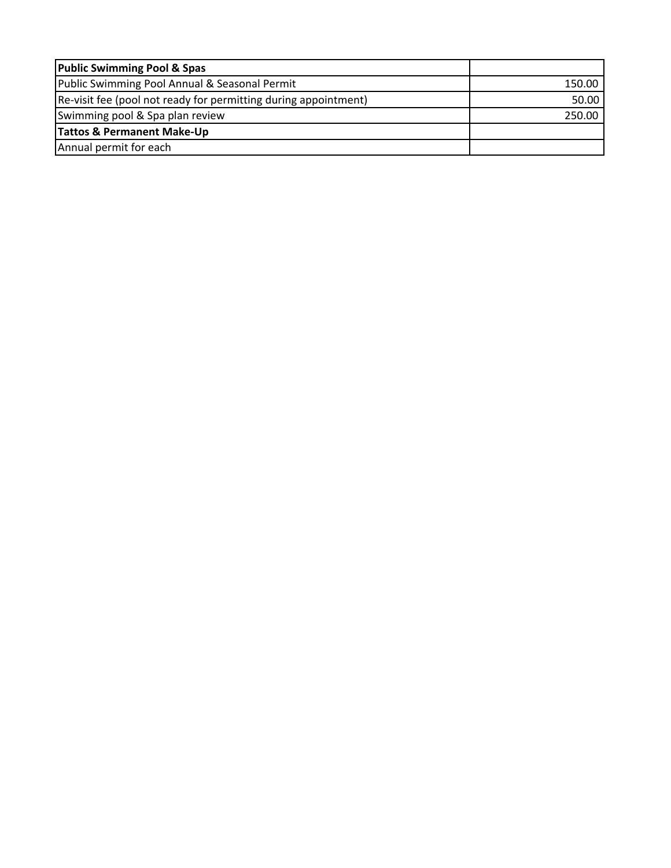| <b>Public Swimming Pool &amp; Spas</b>                           |        |
|------------------------------------------------------------------|--------|
| Public Swimming Pool Annual & Seasonal Permit                    | 150.00 |
| [Re-visit fee (pool not ready for permitting during appointment) | 50.00  |
| Swimming pool & Spa plan review                                  | 250.00 |
| Tattos & Permanent Make-Up                                       |        |
| Annual permit for each                                           |        |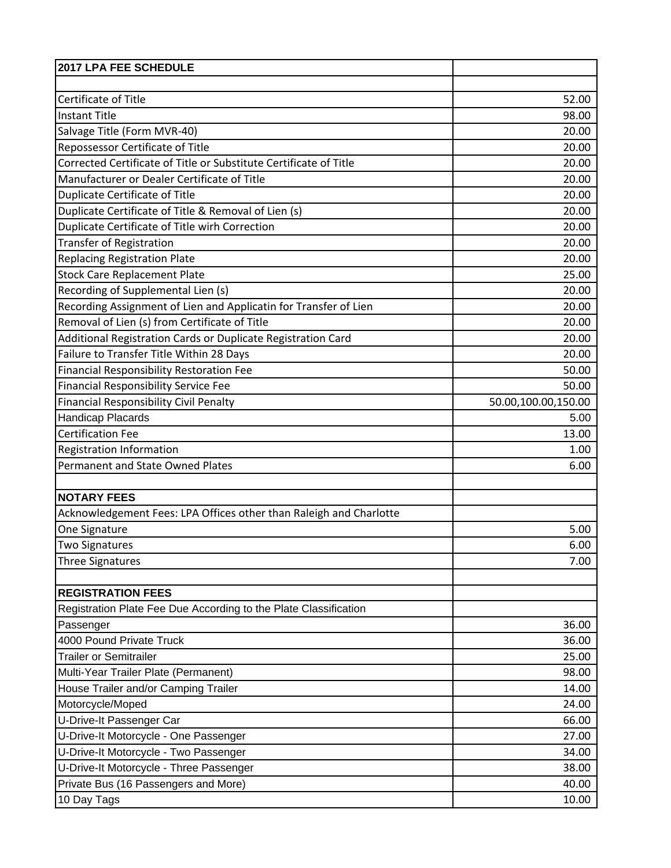| 2017 LPA FEE SCHEDULE                                              |                     |
|--------------------------------------------------------------------|---------------------|
|                                                                    |                     |
| Certificate of Title                                               | 52.00               |
| <b>Instant Title</b>                                               | 98.00               |
| Salvage Title (Form MVR-40)                                        | 20.00               |
| Repossessor Certificate of Title                                   | 20.00               |
| Corrected Certificate of Title or Substitute Certificate of Title  | 20.00               |
| Manufacturer or Dealer Certificate of Title                        | 20.00               |
| Duplicate Certificate of Title                                     | 20.00               |
| Duplicate Certificate of Title & Removal of Lien (s)               | 20.00               |
| Duplicate Certificate of Title wirh Correction                     | 20.00               |
| <b>Transfer of Registration</b>                                    | 20.00               |
| <b>Replacing Registration Plate</b>                                | 20.00               |
| <b>Stock Care Replacement Plate</b>                                | 25.00               |
| Recording of Supplemental Lien (s)                                 | 20.00               |
| Recording Assignment of Lien and Applicatin for Transfer of Lien   | 20.00               |
| Removal of Lien (s) from Certificate of Title                      | 20.00               |
| Additional Registration Cards or Duplicate Registration Card       | 20.00               |
| Failure to Transfer Title Within 28 Days                           | 20.00               |
| Financial Responsibility Restoration Fee                           | 50.00               |
| <b>Financial Responsibility Service Fee</b>                        | 50.00               |
| <b>Financial Responsibility Civil Penalty</b>                      | 50.00,100.00,150.00 |
| <b>Handicap Placards</b>                                           | 5.00                |
| <b>Certification Fee</b>                                           | 13.00               |
| Registration Information                                           | 1.00                |
| Permanent and State Owned Plates                                   | 6.00                |
|                                                                    |                     |
| <b>NOTARY FEES</b>                                                 |                     |
| Acknowledgement Fees: LPA Offices other than Raleigh and Charlotte |                     |
| One Signature                                                      | 5.00                |
| <b>Two Signatures</b>                                              | 6.00                |
| <b>Three Signatures</b>                                            | 7.00                |
|                                                                    |                     |
| <b>REGISTRATION FEES</b>                                           |                     |
| Registration Plate Fee Due According to the Plate Classification   |                     |
| Passenger                                                          | 36.00               |
| 4000 Pound Private Truck                                           | 36.00               |
| <b>Trailer or Semitrailer</b>                                      | 25.00               |
| Multi-Year Trailer Plate (Permanent)                               | 98.00               |
| House Trailer and/or Camping Trailer                               | 14.00               |
| Motorcycle/Moped                                                   | 24.00               |
| U-Drive-It Passenger Car                                           | 66.00               |
| U-Drive-It Motorcycle - One Passenger                              | 27.00               |
| U-Drive-It Motorcycle - Two Passenger                              | 34.00               |
| U-Drive-It Motorcycle - Three Passenger                            | 38.00               |
| Private Bus (16 Passengers and More)                               | 40.00               |
| 10 Day Tags                                                        | 10.00               |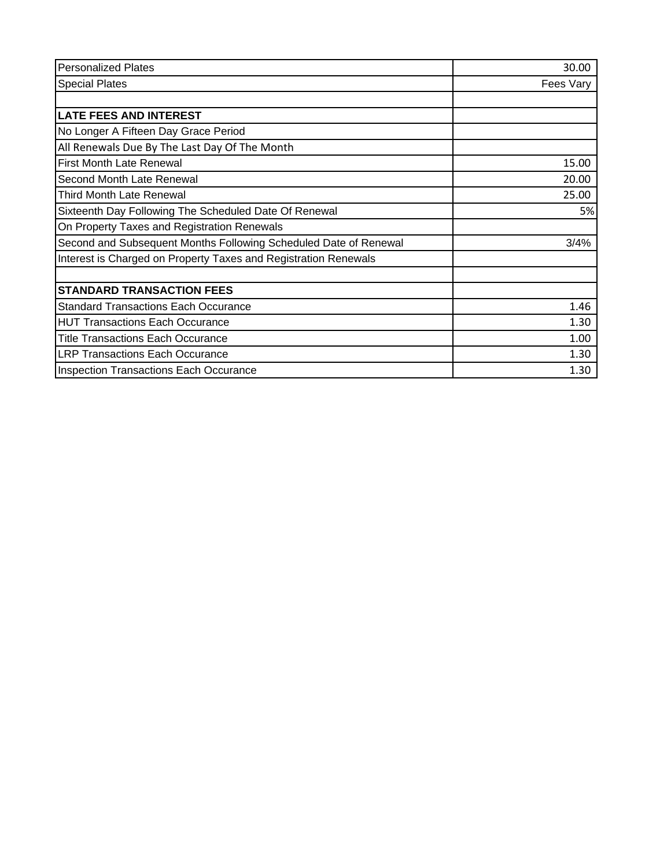| <b>Personalized Plates</b>                                       | 30.00     |
|------------------------------------------------------------------|-----------|
| <b>Special Plates</b>                                            | Fees Vary |
|                                                                  |           |
| <b>LATE FEES AND INTEREST</b>                                    |           |
| No Longer A Fifteen Day Grace Period                             |           |
| All Renewals Due By The Last Day Of The Month                    |           |
| <b>First Month Late Renewal</b>                                  | 15.00     |
| Second Month Late Renewal                                        | 20.00     |
| <b>Third Month Late Renewal</b>                                  | 25.00     |
| Sixteenth Day Following The Scheduled Date Of Renewal            | 5%        |
| On Property Taxes and Registration Renewals                      |           |
| Second and Subsequent Months Following Scheduled Date of Renewal | 3/4%      |
| Interest is Charged on Property Taxes and Registration Renewals  |           |
| <b>STANDARD TRANSACTION FEES</b>                                 |           |
| <b>Standard Transactions Each Occurance</b>                      | 1.46      |
| <b>HUT Transactions Each Occurance</b>                           | 1.30      |
| <b>Title Transactions Each Occurance</b>                         | 1.00      |
| <b>LRP Transactions Each Occurance</b>                           | 1.30      |
| <b>Inspection Transactions Each Occurance</b>                    | 1.30      |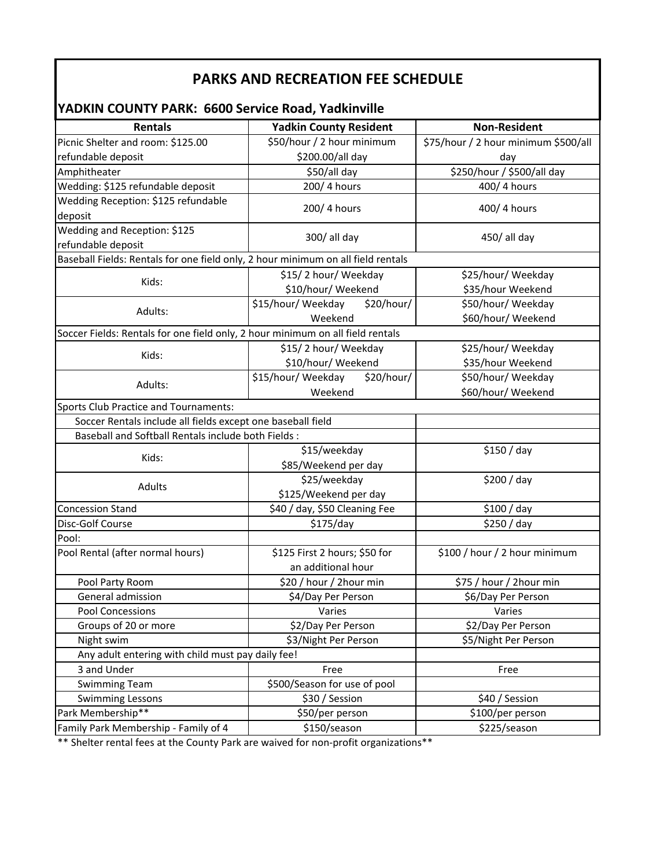## **PARKS AND RECREATION FEE SCHEDULE**

#### **Rentals Yadkin County Resident Non‐Resident** Picnic Shelter and room: \$125.00 refundable deposit \$50/hour / 2 hour minimum \$200.00/all day \$75/hour / 2 hour minimum \$500/all day Amphitheater \$50/all day \$250/hour / \$500/all day Wedding: \$125 refundable deposit  $\overline{a}$  and  $\overline{a}$  200/ 4 hours  $\overline{a}$  and  $\overline{a}$  400/ 4 hours Wedding Reception: \$125 refundable deposit 200/ 4 hours deposit 400/ 4 hours deposit Wedding and Reception: \$125 redding the neception:  $\frac{1}{2}$  and  $\frac{300}{1}$  all day  $\frac{450}{1}$  all day Kids:  $$15/2$  hour/ Weekday \$10/hour/ Weekend \$25/hour/ Weekday \$35/hour Weekend Adults:  $\begin{array}{c} \text{515/hour/} \\ \text{20/hour/} \\ \text{615/hour/} \end{array}$ Weekend \$50/hour/ Weekday \$60/hour/ Weekend Kids:  $$15/ 2$  hour/ Weekday \$10/hour/ Weekend \$25/hour/ Weekday \$35/hour Weekend Adults: \$15/hour/ Weekday \$20/hour/ Weekend \$50/hour/ Weekday \$60/hour/ Weekend Soccer Rentals include all fields except one baseball field Baseball and Softball Rentals include both Fields : Kids: \$15/weekday \$85/Weekend per day \$150 / day Adults **Adults Adults 1997** \$125/Weekend per day \$200 / day Concession Stand **\$20 / SAO / day, \$50 Cleaning Fee \$100 / day** Disc‐Golf Course \$175/day \$250 / day Pool: Pool Rental (after normal hours)  $\vert$  \$125 First 2 hours; \$50 for an additional hour \$100 / hour / 2 hour minimum Pool Party Room **1992 1993 1994 520** / hour / 2hour min **1994 525** / hour / 2hour min General admission **1988 54/Day Per Person** \$6/Day Per Person Pool Concessions Varies Varies Groups of 20 or more **by Apple 20** S2/Day Per Person **\$2/Day Per Person** \$2/Day Per Person Night swim \$3/Night Per Person \$5/Night Per Person Any adult entering with child must pay daily fee! 3 and Under Free Free Swimming Team  $\vert$  \$500/Season for use of pool Swimming Lessons \$30 / Session \$40 / Session Park Membership\*\* \$50/per person \$100/per person Family Park Membership - Family of 4  $\qquad \qquad$ \$150/season  $\qquad \qquad$ \$225/season **YADKIN COUNTY PARK: 6600 Service Road, Yadkinville** Baseball Fields: Rentals for one field only, 2 hour minimum on all field rentals Soccer Fields: Rentals for one field only, 2 hour minimum on all field rentals Sports Club Practice and Tournaments:

\*\* Shelter rental fees at the County Park are waived for non‐profit organizations\*\*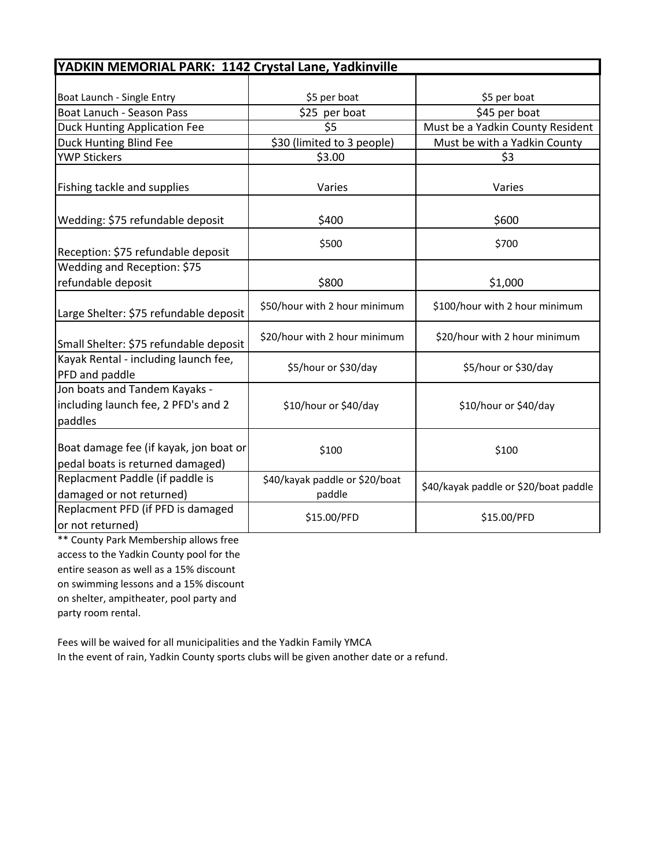| YADKIN MEMORIAL PARK: 1142 Crystal Lane, Yadkinville                            |                                          |                                       |
|---------------------------------------------------------------------------------|------------------------------------------|---------------------------------------|
|                                                                                 |                                          |                                       |
| Boat Launch - Single Entry                                                      | \$5 per boat                             | \$5 per boat                          |
| Boat Lanuch - Season Pass                                                       | \$25 per boat                            | \$45 per boat                         |
| <b>Duck Hunting Application Fee</b>                                             | \$5                                      | Must be a Yadkin County Resident      |
| Duck Hunting Blind Fee                                                          | \$30 (limited to 3 people)               | Must be with a Yadkin County          |
| <b>YWP Stickers</b>                                                             | \$3.00                                   | \$3                                   |
| Fishing tackle and supplies                                                     | Varies                                   | Varies                                |
| Wedding: \$75 refundable deposit                                                | \$400                                    | \$600                                 |
| Reception: \$75 refundable deposit                                              | \$500                                    | \$700                                 |
| Wedding and Reception: \$75                                                     |                                          |                                       |
| refundable deposit                                                              | \$800                                    | \$1,000                               |
| Large Shelter: \$75 refundable deposit                                          | \$50/hour with 2 hour minimum            | \$100/hour with 2 hour minimum        |
| Small Shelter: \$75 refundable deposit                                          | \$20/hour with 2 hour minimum            | \$20/hour with 2 hour minimum         |
| Kayak Rental - including launch fee,<br>PFD and paddle                          | \$5/hour or \$30/day                     | \$5/hour or \$30/day                  |
| Jon boats and Tandem Kayaks -<br>including launch fee, 2 PFD's and 2<br>paddles | \$10/hour or \$40/day                    | \$10/hour or \$40/day                 |
| Boat damage fee (if kayak, jon boat or<br>pedal boats is returned damaged)      | \$100                                    | \$100                                 |
| Replacment Paddle (if paddle is<br>damaged or not returned)                     | \$40/kayak paddle or \$20/boat<br>paddle | \$40/kayak paddle or \$20/boat paddle |
| Replacment PFD (if PFD is damaged<br>or not returned)                           | \$15.00/PFD                              | \$15.00/PFD                           |

\*\* County Park Membership allows free access to the Yadkin County pool for the entire season as well as a 15% discount on swimming lessons and a 15% discount on shelter, ampitheater, pool party and party room rental.

Fees will be waived for all municipalities and the Yadkin Family YMCA In the event of rain, Yadkin County sports clubs will be given another date or a refund.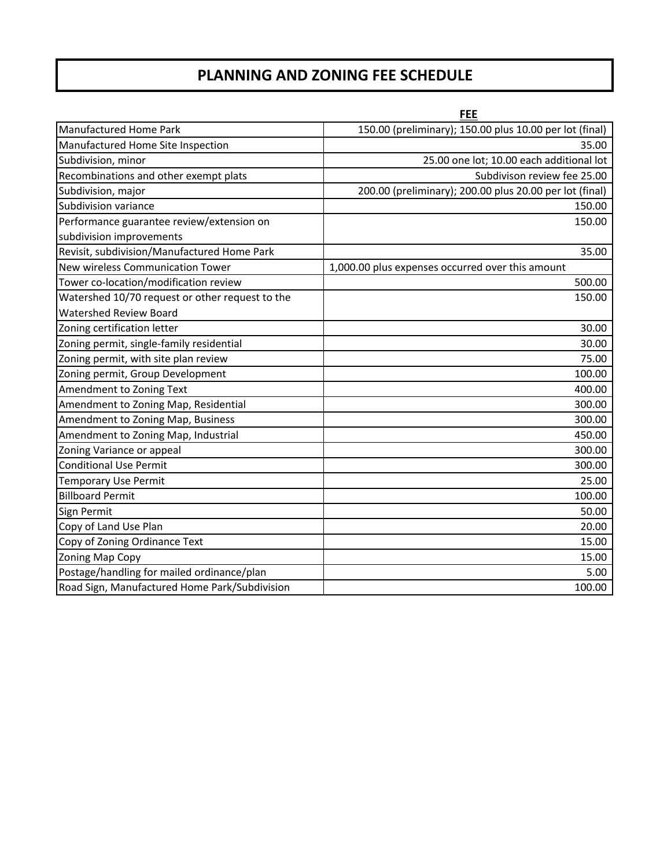## **PLANNING AND ZONING FEE SCHEDULE**

|                                                 | <b>FEE</b>                                              |
|-------------------------------------------------|---------------------------------------------------------|
| Manufactured Home Park                          | 150.00 (preliminary); 150.00 plus 10.00 per lot (final) |
| Manufactured Home Site Inspection               | 35.00                                                   |
| Subdivision, minor                              | 25.00 one lot; 10.00 each additional lot                |
| Recombinations and other exempt plats           | Subdivison review fee 25.00                             |
| Subdivision, major                              | 200.00 (preliminary); 200.00 plus 20.00 per lot (final) |
| Subdivision variance                            | 150.00                                                  |
| Performance guarantee review/extension on       | 150.00                                                  |
| subdivision improvements                        |                                                         |
| Revisit, subdivision/Manufactured Home Park     | 35.00                                                   |
| New wireless Communication Tower                | 1,000.00 plus expenses occurred over this amount        |
| Tower co-location/modification review           | 500.00                                                  |
| Watershed 10/70 request or other request to the | 150.00                                                  |
| <b>Watershed Review Board</b>                   |                                                         |
| Zoning certification letter                     | 30.00                                                   |
| Zoning permit, single-family residential        | 30.00                                                   |
| Zoning permit, with site plan review            | 75.00                                                   |
| Zoning permit, Group Development                | 100.00                                                  |
| Amendment to Zoning Text                        | 400.00                                                  |
| Amendment to Zoning Map, Residential            | 300.00                                                  |
| Amendment to Zoning Map, Business               | 300.00                                                  |
| Amendment to Zoning Map, Industrial             | 450.00                                                  |
| Zoning Variance or appeal                       | 300.00                                                  |
| <b>Conditional Use Permit</b>                   | 300.00                                                  |
| <b>Temporary Use Permit</b>                     | 25.00                                                   |
| <b>Billboard Permit</b>                         | 100.00                                                  |
| Sign Permit                                     | 50.00                                                   |
| Copy of Land Use Plan                           | 20.00                                                   |
| Copy of Zoning Ordinance Text                   | 15.00                                                   |
| Zoning Map Copy                                 | 15.00                                                   |
| Postage/handling for mailed ordinance/plan      | 5.00                                                    |
| Road Sign, Manufactured Home Park/Subdivision   | 100.00                                                  |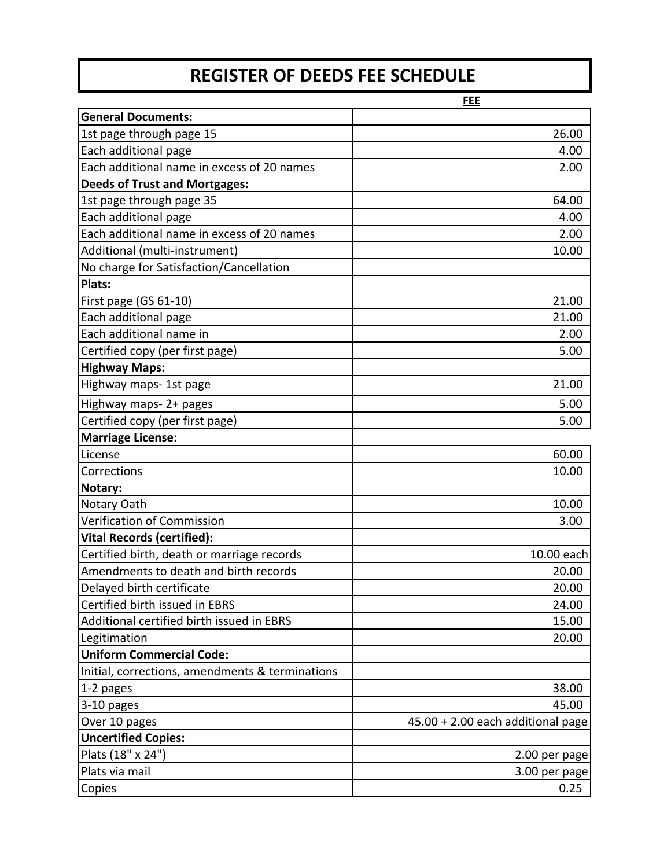# **REGISTER OF DEEDS FEE SCHEDULE**

|                                                 | <b>FEE</b>                        |
|-------------------------------------------------|-----------------------------------|
| <b>General Documents:</b>                       |                                   |
| 1st page through page 15                        | 26.00                             |
| Each additional page                            | 4.00                              |
| Each additional name in excess of 20 names      | 2.00                              |
| <b>Deeds of Trust and Mortgages:</b>            |                                   |
| 1st page through page 35                        | 64.00                             |
| Each additional page                            | 4.00                              |
| Each additional name in excess of 20 names      | 2.00                              |
| Additional (multi-instrument)                   | 10.00                             |
| No charge for Satisfaction/Cancellation         |                                   |
| <b>Plats:</b>                                   |                                   |
| First page (GS 61-10)                           | 21.00                             |
| Each additional page                            | 21.00                             |
| Each additional name in                         | 2.00                              |
| Certified copy (per first page)                 | 5.00                              |
| <b>Highway Maps:</b>                            |                                   |
| Highway maps- 1st page                          | 21.00                             |
| Highway maps- 2+ pages                          | 5.00                              |
| Certified copy (per first page)                 | 5.00                              |
| Marriage License:                               |                                   |
| License                                         | 60.00                             |
| Corrections                                     | 10.00                             |
| Notary:                                         |                                   |
| Notary Oath                                     | 10.00                             |
| Verification of Commission                      | 3.00                              |
| Vital Records (certified):                      |                                   |
| Certified birth, death or marriage records      | 10.00 each                        |
| Amendments to death and birth records           | 20.00                             |
| Delayed birth certificate                       | 20.00                             |
| Certified birth issued in EBRS                  | 24.00                             |
| Additional certified birth issued in EBRS       | 15.00                             |
| Legitimation                                    | 20.00                             |
| <b>Uniform Commercial Code:</b>                 |                                   |
| Initial, corrections, amendments & terminations |                                   |
| $1-2$ pages                                     | 38.00                             |
| $3-10$ pages                                    | 45.00                             |
| Over 10 pages                                   | 45.00 + 2.00 each additional page |
| <b>Uncertified Copies:</b>                      |                                   |
| Plats (18" x 24")                               | 2.00 per page                     |
| Plats via mail                                  | 3.00 per page                     |
| Copies                                          | 0.25                              |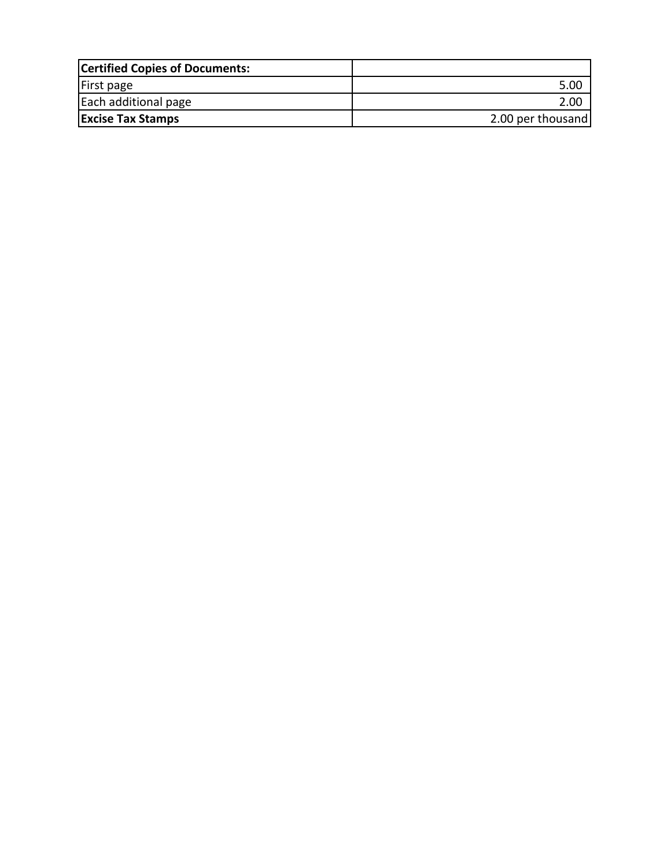| <b>Certified Copies of Documents:</b> |                   |
|---------------------------------------|-------------------|
| First page                            | 5.00              |
| Each additional page                  | 2.00              |
| <b>Excise Tax Stamps</b>              | 2.00 per thousand |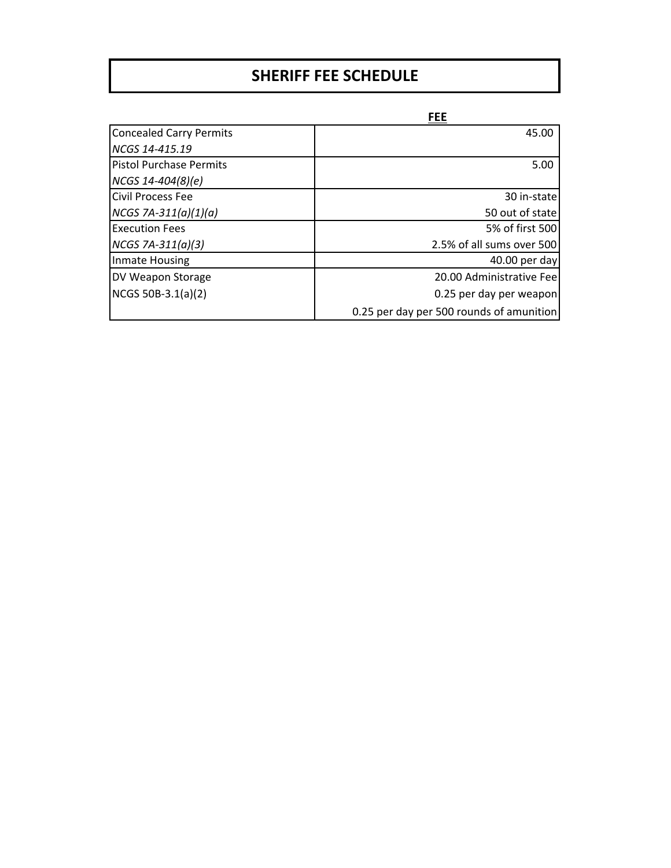# **SHERIFF FEE SCHEDULE**

|                                | <b>FEE</b>                               |
|--------------------------------|------------------------------------------|
| <b>Concealed Carry Permits</b> | 45.00                                    |
| NCGS 14-415.19                 |                                          |
| lPistol Purchase Permits       | 5.00                                     |
| $NCGS$ 14-404(8)(e)            |                                          |
| <b>Civil Process Fee</b>       | 30 in-state                              |
| $NCGS 7A-311(a)(1)(a)$         | 50 out of state                          |
| <b>Execution Fees</b>          | 5% of first 500                          |
| $NCGS 7A-311(a)(3)$            | 2.5% of all sums over 500                |
| Inmate Housing                 | 40.00 per day                            |
| DV Weapon Storage              | 20.00 Administrative Fee                 |
| NCGS 50B-3.1(a)(2)             | 0.25 per day per weapon                  |
|                                | 0.25 per day per 500 rounds of amunition |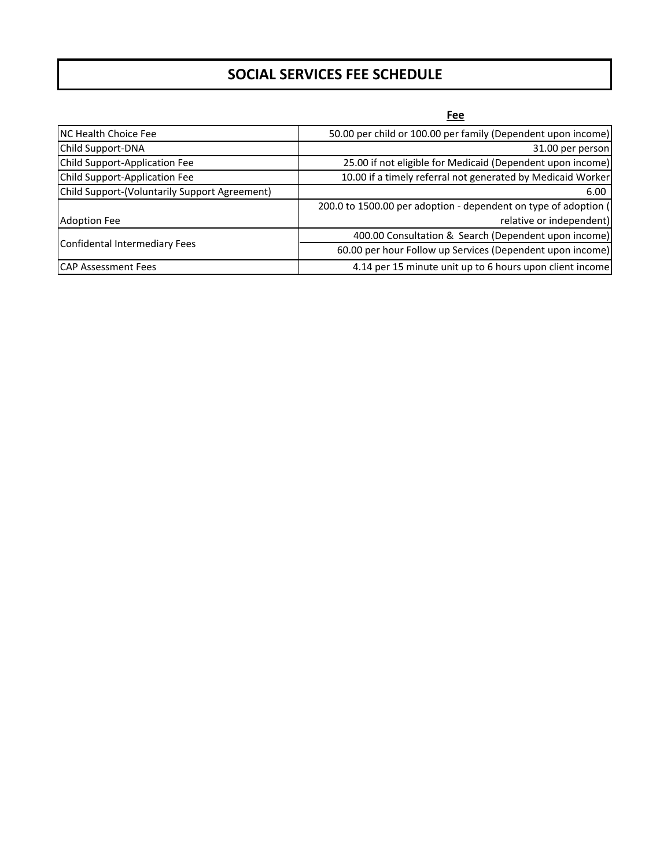## **SOCIAL SERVICES FEE SCHEDULE**

**Fee**

| <b>NC Health Choice Fee</b>                   | 50.00 per child or 100.00 per family (Dependent upon income)    |
|-----------------------------------------------|-----------------------------------------------------------------|
| Child Support-DNA                             | 31.00 per person                                                |
| Child Support-Application Fee                 | 25.00 if not eligible for Medicaid (Dependent upon income)      |
| Child Support-Application Fee                 | 10.00 if a timely referral not generated by Medicaid Worker     |
| Child Support-(Voluntarily Support Agreement) | 6.00                                                            |
|                                               | 200.0 to 1500.00 per adoption - dependent on type of adoption ( |
| <b>Adoption Fee</b>                           | relative or independent)                                        |
| Confidental Intermediary Fees                 | 400.00 Consultation & Search (Dependent upon income)            |
|                                               | 60.00 per hour Follow up Services (Dependent upon income)       |
| <b>CAP Assessment Fees</b>                    | 4.14 per 15 minute unit up to 6 hours upon client income        |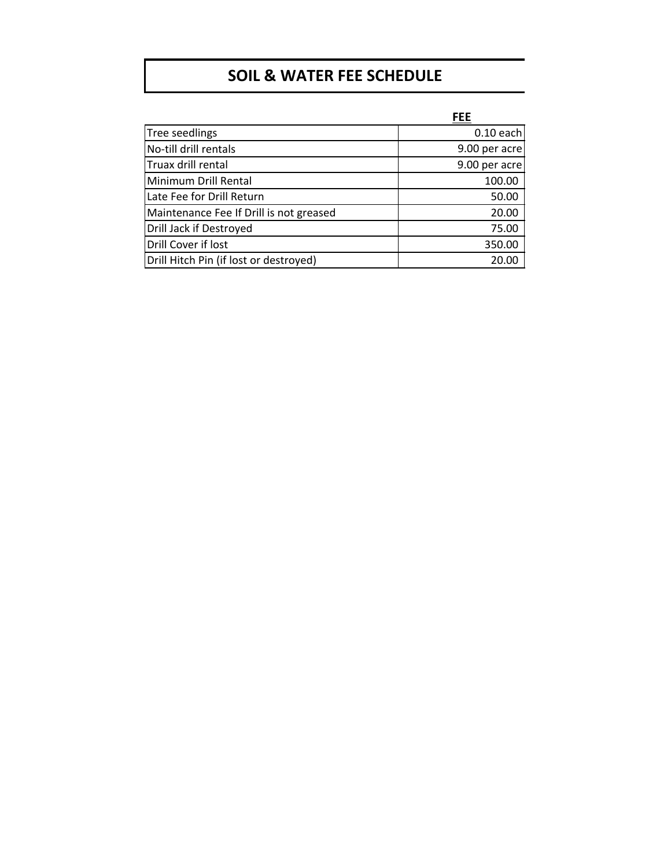# **SOIL & WATER FEE SCHEDULE**

|                                         | <b>FEE</b>    |
|-----------------------------------------|---------------|
| Tree seedlings                          | $0.10$ each   |
| No-till drill rentals                   | 9.00 per acre |
| Truax drill rental                      | 9.00 per acre |
| Minimum Drill Rental                    | 100.00        |
| Late Fee for Drill Return               | 50.00         |
| Maintenance Fee If Drill is not greased | 20.00         |
| Drill Jack if Destroyed                 | 75.00         |
| Drill Cover if lost                     | 350.00        |
| Drill Hitch Pin (if lost or destroyed)  | 20.00         |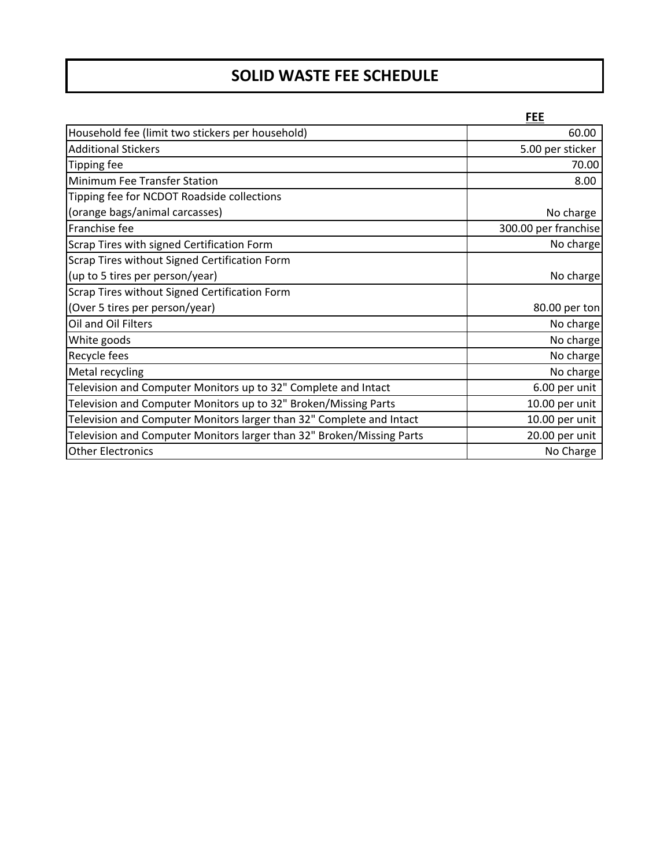# **SOLID WASTE FEE SCHEDULE**

|                                                                       | <b>FEE</b>           |
|-----------------------------------------------------------------------|----------------------|
| Household fee (limit two stickers per household)                      | 60.00                |
| <b>Additional Stickers</b>                                            | 5.00 per sticker     |
| <b>Tipping fee</b>                                                    | 70.00                |
| Minimum Fee Transfer Station                                          | 8.00                 |
| Tipping fee for NCDOT Roadside collections                            |                      |
| (orange bags/animal carcasses)                                        | No charge            |
| Franchise fee                                                         | 300.00 per franchise |
| Scrap Tires with signed Certification Form                            | No charge            |
| Scrap Tires without Signed Certification Form                         |                      |
| (up to 5 tires per person/year)                                       | No charge            |
| Scrap Tires without Signed Certification Form                         |                      |
| (Over 5 tires per person/year)                                        | 80.00 per ton        |
| Oil and Oil Filters                                                   | No charge            |
| White goods                                                           | No charge            |
| Recycle fees                                                          | No charge            |
| Metal recycling                                                       | No charge            |
| Television and Computer Monitors up to 32" Complete and Intact        | 6.00 per unit        |
| Television and Computer Monitors up to 32" Broken/Missing Parts       | 10.00 per unit       |
| Television and Computer Monitors larger than 32" Complete and Intact  | 10.00 per unit       |
| Television and Computer Monitors larger than 32" Broken/Missing Parts | 20.00 per unit       |
| <b>Other Electronics</b>                                              | No Charge            |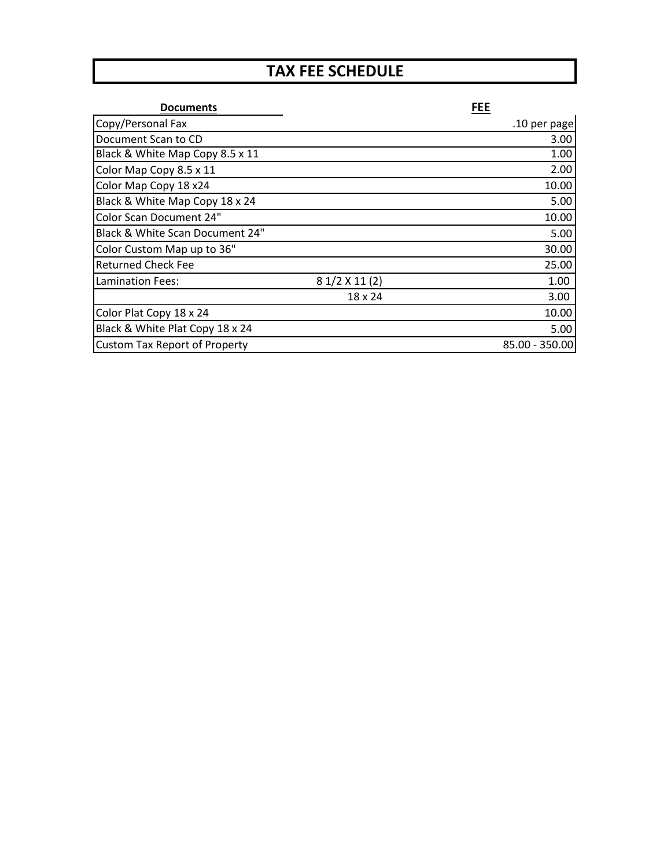# **TAX FEE SCHEDULE**

| <b>Documents</b>                     |                | <b>FEE</b>     |
|--------------------------------------|----------------|----------------|
| Copy/Personal Fax                    |                | .10 per page   |
| Document Scan to CD                  |                | 3.00           |
| Black & White Map Copy 8.5 x 11      |                | 1.00           |
| Color Map Copy 8.5 x 11              |                | 2.00           |
| Color Map Copy 18 x24                |                | 10.00          |
| Black & White Map Copy 18 x 24       |                | 5.00           |
| Color Scan Document 24"              |                | 10.00          |
| Black & White Scan Document 24"      |                | 5.00           |
| Color Custom Map up to 36"           |                | 30.00          |
| <b>Returned Check Fee</b>            |                | 25.00          |
| <b>Lamination Fees:</b>              | 8 1/2 X 11 (2) | 1.00           |
|                                      | 18 x 24        | 3.00           |
| Color Plat Copy 18 x 24              |                | 10.00          |
| Black & White Plat Copy 18 x 24      |                | 5.00           |
| <b>Custom Tax Report of Property</b> |                | 85.00 - 350.00 |